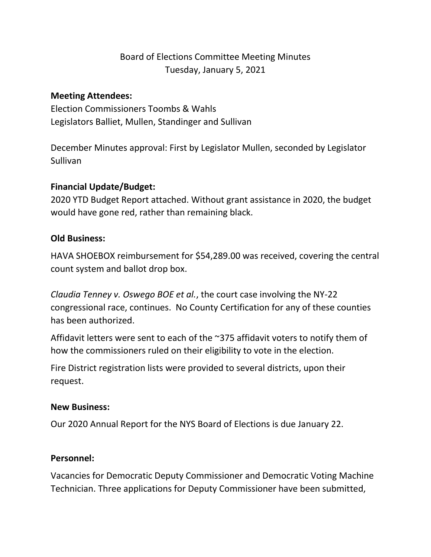# Board of Elections Committee Meeting Minutes Tuesday, January 5, 2021

## **Meeting Attendees:**

Election Commissioners Toombs & Wahls Legislators Balliet, Mullen, Standinger and Sullivan

December Minutes approval: First by Legislator Mullen, seconded by Legislator Sullivan

# **Financial Update/Budget:**

2020 YTD Budget Report attached. Without grant assistance in 2020, the budget would have gone red, rather than remaining black.

# **Old Business:**

HAVA SHOEBOX reimbursement for \$54,289.00 was received, covering the central count system and ballot drop box.

*Claudia Tenney v. Oswego BOE et al.*, the court case involving the NY-22 congressional race, continues. No County Certification for any of these counties has been authorized.

Affidavit letters were sent to each of the ~375 affidavit voters to notify them of how the commissioners ruled on their eligibility to vote in the election.

Fire District registration lists were provided to several districts, upon their request.

#### **New Business:**

Our 2020 Annual Report for the NYS Board of Elections is due January 22.

#### **Personnel:**

Vacancies for Democratic Deputy Commissioner and Democratic Voting Machine Technician. Three applications for Deputy Commissioner have been submitted,